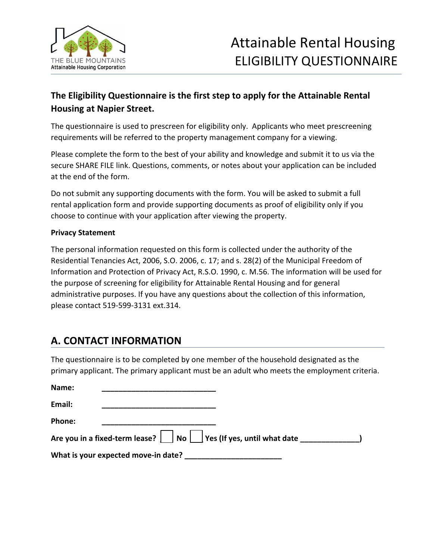

#### **The Eligibility Questionnaire is the first step to apply for the Attainable Rental Housing at Napier Street.**

The questionnaire is used to prescreen for eligibility only. Applicants who meet prescreening requirements will be referred to the property management company for a viewing.

Please complete the form to the best of your ability and knowledge and submit it to us via the secure SHARE FILE link. Questions, comments, or notes about your application can be included at the end of the form.

Do not submit any supporting documents with the form. You will be asked to submit a full rental application form and provide supporting documents as proof of eligibility only if you choose to continue with your application after viewing the property.

#### **Privacy Statement**

The personal information requested on this form is collected under the authority of the Residential Tenancies Act, 2006, S.O. 2006, c. 17; and s. 28(2) of the Municipal Freedom of Information and Protection of Privacy Act, R.S.O. 1990, c. M.56. The information will be used for the purpose of screening for eligibility for Attainable Rental Housing and for general administrative purposes. If you have any questions about the collection of this information, please contact 519-599-3131 ext.314.

### **A. CONTACT INFORMATION**

The questionnaire is to be completed by one member of the household designated as the primary applicant. The primary applicant must be an adult who meets the employment criteria.

| Name:  |                                                                                |  |
|--------|--------------------------------------------------------------------------------|--|
| Email: |                                                                                |  |
| Phone: |                                                                                |  |
|        | Are you in a fixed-term lease? $\Box$ No $\Box$ Yes (If yes, until what date _ |  |
|        | What is your expected move-in date?                                            |  |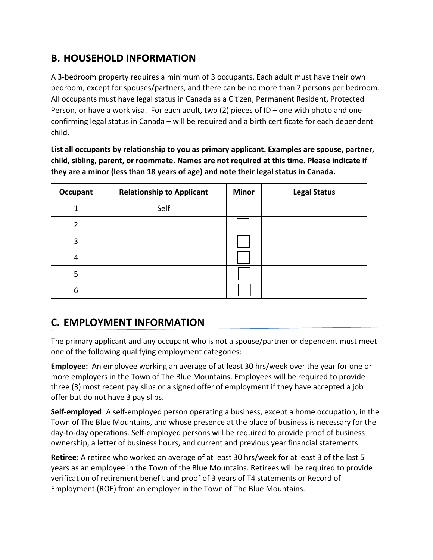# **B. HOUSEHOLD INFORMATION**

A 3-bedroom property requires a minimum of 3 occupants. Each adult must have their own bedroom, except for spouses/partners, and there can be no more than 2 persons per bedroom. All occupants must have legal status in Canada as a Citizen, Permanent Resident, Protected Person, or have a work visa. For each adult, two (2) pieces of ID – one with photo and one confirming legal status in Canada – will be required and a birth certificate for each dependent child.

**List all occupants by relationship to you as primary applicant. Examples are spouse, partner, child, sibling, parent, or roommate. Names are not required at this time. Please indicate if they are a minor (less than 18 years of age) and note their legal status in Canada.** 

| Occupant | <b>Relationship to Applicant</b> | <b>Minor</b> | <b>Legal Status</b> |
|----------|----------------------------------|--------------|---------------------|
| 1        | Self                             |              |                     |
| 2        |                                  |              |                     |
| 3        |                                  |              |                     |
| 4        |                                  |              |                     |
| 5        |                                  |              |                     |
| 6        |                                  |              |                     |

# **C. EMPLOYMENT INFORMATION**

The primary applicant and any occupant who is not a spouse/partner or dependent must meet one of the following qualifying employment categories:

**Employee:** An employee working an average of at least 30 hrs/week over the year for one or more employers in the Town of The Blue Mountains. Employees will be required to provide three (3) most recent pay slips or a signed offer of employment if they have accepted a job offer but do not have 3 pay slips.

**Self-employed**: A self-employed person operating a business, except a home occupation, in the Town of The Blue Mountains, and whose presence at the place of business is necessary for the day-to-day operations. Self-employed persons will be required to provide proof of business ownership, a letter of business hours, and current and previous year financial statements.

**Retiree**: A retiree who worked an average of at least 30 hrs/week for at least 3 of the last 5 years as an employee in the Town of the Blue Mountains. Retirees will be required to provide verification of retirement benefit and proof of 3 years of T4 statements or Record of Employment (ROE) from an employer in the Town of The Blue Mountains.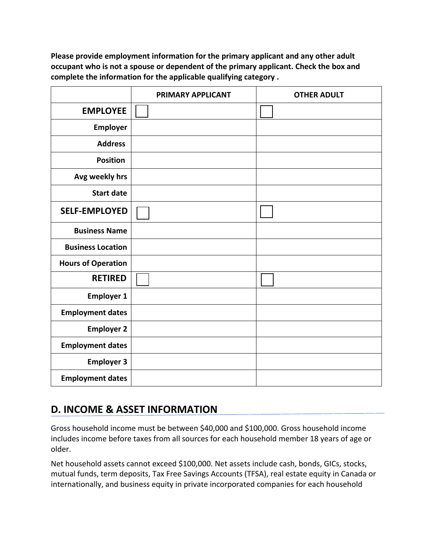**Please provide employment information for the primary applicant and any other adult occupant who is not a spouse or dependent of the primary applicant. Check the box and complete the information for the applicable qualifying category .** 

|                           | PRIMARY APPLICANT | <b>OTHER ADULT</b> |
|---------------------------|-------------------|--------------------|
| <b>EMPLOYEE</b>           |                   |                    |
| <b>Employer</b>           |                   |                    |
| <b>Address</b>            |                   |                    |
| <b>Position</b>           |                   |                    |
| Avg weekly hrs            |                   |                    |
| <b>Start date</b>         |                   |                    |
| <b>SELF-EMPLOYED</b>      |                   |                    |
| <b>Business Name</b>      |                   |                    |
| <b>Business Location</b>  |                   |                    |
| <b>Hours of Operation</b> |                   |                    |
| <b>RETIRED</b>            |                   |                    |
| <b>Employer 1</b>         |                   |                    |
| <b>Employment dates</b>   |                   |                    |
| <b>Employer 2</b>         |                   |                    |
| <b>Employment dates</b>   |                   |                    |
| <b>Employer 3</b>         |                   |                    |
| <b>Employment dates</b>   |                   |                    |

# **D. INCOME & ASSET INFORMATION**

Gross household income must be between \$40,000 and \$100,000. Gross household income includes income before taxes from all sources for each household member 18 years of age or older.

Net household assets cannot exceed \$100,000. Net assets include cash, bonds, GICs, stocks, mutual funds, term deposits, Tax Free Savings Accounts (TFSA), real estate equity in Canada or internationally, and business equity in private incorporated companies for each household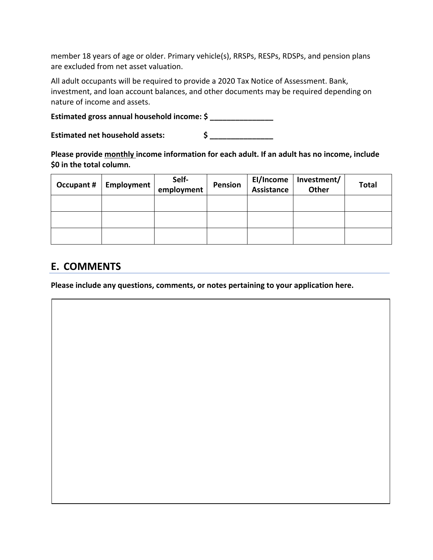member 18 years of age or older. Primary vehicle(s), RRSPs, RESPs, RDSPs, and pension plans are excluded from net asset valuation.

All adult occupants will be required to provide a 2020 Tax Notice of Assessment. Bank, investment, and loan account balances, and other documents may be required depending on nature of income and assets.

Estimated gross annual household income: \$

**Estimated net household assets: \$ \_\_\_\_\_\_\_\_\_\_\_\_\_\_\_**

**Please provide monthly income information for each adult. If an adult has no income, include \$0 in the total column.** 

| <b>Occupant #</b> | Employment | Self-<br>employment | Pension | El/Income<br>Assistance | Investment/<br><b>Other</b> | <b>Total</b> |
|-------------------|------------|---------------------|---------|-------------------------|-----------------------------|--------------|
|                   |            |                     |         |                         |                             |              |
|                   |            |                     |         |                         |                             |              |
|                   |            |                     |         |                         |                             |              |

## **E. COMMENTS**

**Please include any questions, comments, or notes pertaining to your application here.**